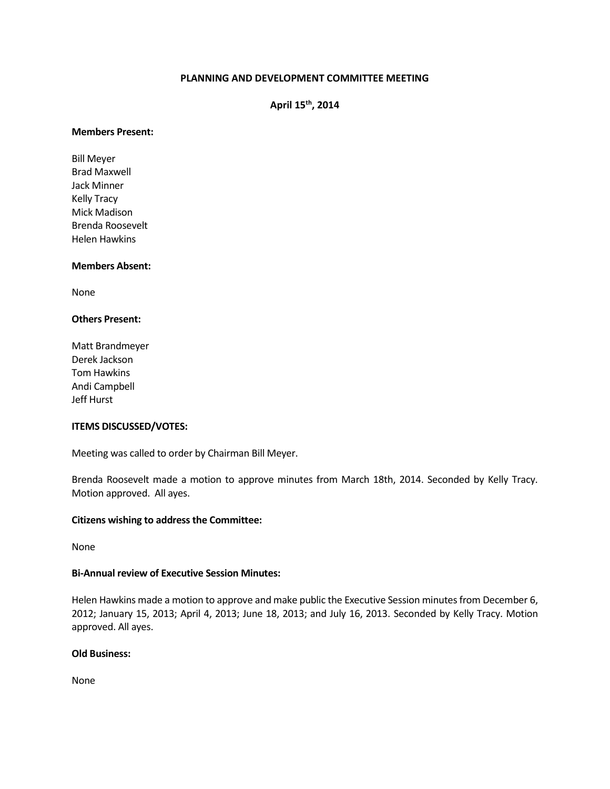# **PLANNING AND DEVELOPMENT COMMITTEE MEETING**

**April 15th, 2014**

#### **Members Present:**

Bill Meyer Brad Maxwell Jack Minner Kelly Tracy Mick Madison Brenda Roosevelt Helen Hawkins

### **Members Absent:**

None

# **Others Present:**

Matt Brandmeyer Derek Jackson Tom Hawkins Andi Campbell Jeff Hurst

### **ITEMS DISCUSSED/VOTES:**

Meeting was called to order by Chairman Bill Meyer.

Brenda Roosevelt made a motion to approve minutes from March 18th, 2014. Seconded by Kelly Tracy. Motion approved. All ayes.

### **Citizens wishing to address the Committee:**

None

## **Bi-Annual review of Executive Session Minutes:**

Helen Hawkins made a motion to approve and make public the Executive Session minutes from December 6, 2012; January 15, 2013; April 4, 2013; June 18, 2013; and July 16, 2013. Seconded by Kelly Tracy. Motion approved. All ayes.

# **Old Business:**

None